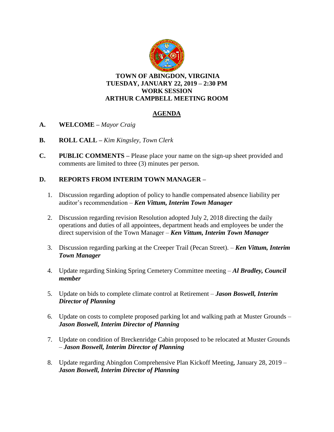

**TOWN OF ABINGDON, VIRGINIA TUESDAY, JANUARY 22, 2019 – 2:30 PM WORK SESSION ARTHUR CAMPBELL MEETING ROOM**

## **AGENDA**

- **A. WELCOME –** *Mayor Craig*
- **B. ROLL CALL –** *Kim Kingsley, Town Clerk*
- **C. PUBLIC COMMENTS –** Please place your name on the sign-up sheet provided and comments are limited to three (3) minutes per person.

## **D. REPORTS FROM INTERIM TOWN MANAGER –**

- 1. Discussion regarding adoption of policy to handle compensated absence liability per auditor's recommendation – *Ken Vittum, Interim Town Manager*
- 2. Discussion regarding revision Resolution adopted July 2, 2018 directing the daily operations and duties of all appointees, department heads and employees be under the direct supervision of the Town Manager – *Ken Vittum, Interim Town Manager*
- 3. Discussion regarding parking at the Creeper Trail (Pecan Street). *Ken Vittum, Interim Town Manager*
- 4. Update regarding Sinking Spring Cemetery Committee meeting *Al Bradley, Council member*
- 5. Update on bids to complete climate control at Retirement *Jason Boswell, Interim Director of Planning*
- 6. Update on costs to complete proposed parking lot and walking path at Muster Grounds *Jason Boswell, Interim Director of Planning*
- 7. Update on condition of Breckenridge Cabin proposed to be relocated at Muster Grounds – *Jason Boswell, Interim Director of Planning*
- 8. Update regarding Abingdon Comprehensive Plan Kickoff Meeting, January 28, 2019 *Jason Boswell, Interim Director of Planning*